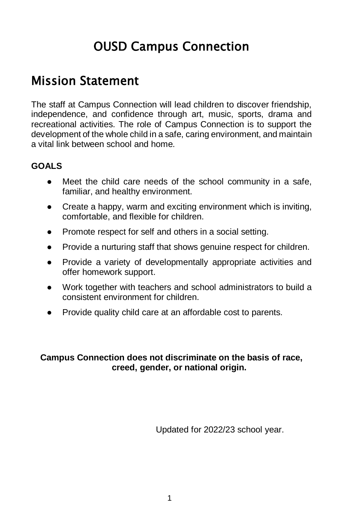# OUSD Campus Connection

## Mission Statement

The staff at Campus Connection will lead children to discover friendship, independence, and confidence through art, music, sports, drama and recreational activities. The role of Campus Connection is to support the development of the whole child in a safe, caring environment, and maintain a vital link between school and home.

#### **GOALS**

- Meet the child care needs of the school community in a safe, familiar, and healthy environment.
- Create a happy, warm and exciting environment which is inviting, comfortable, and flexible for children.
- Promote respect for self and others in a social setting.
- Provide a nurturing staff that shows genuine respect for children.
- Provide a variety of developmentally appropriate activities and offer homework support.
- Work together with teachers and school administrators to build a consistent environment for children.
- Provide quality child care at an affordable cost to parents.

#### **Campus Connection does not discriminate on the basis of race, creed, gender, or national origin.**

Updated for 2022/23 school year.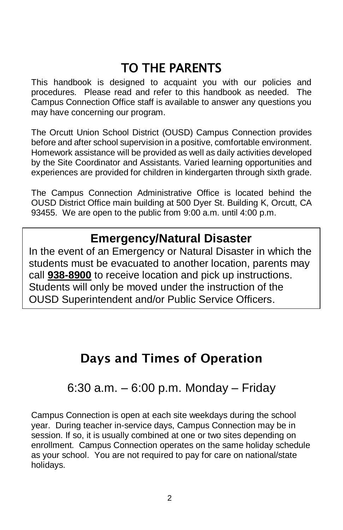# TO THE PARENTS

This handbook is designed to acquaint you with our policies and procedures. Please read and refer to this handbook as needed. The Campus Connection Office staff is available to answer any questions you may have concerning our program.

The Orcutt Union School District (OUSD) Campus Connection provides before and after school supervision in a positive, comfortable environment. Homework assistance will be provided as well as daily activities developed by the Site Coordinator and Assistants. Varied learning opportunities and experiences are provided for children in kindergarten through sixth grade.

The Campus Connection Administrative Office is located behind the OUSD District Office main building at 500 Dyer St. Building K, Orcutt, CA 93455. We are open to the public from 9:00 a.m. until 4:00 p.m.

### **Emergency/Natural Disaster**

In the event of an Emergency or Natural Disaster in which the students must be evacuated to another location, parents may call **938-8900** to receive location and pick up instructions. Students will only be moved under the instruction of the OUSD Superintendent and/or Public Service Officers.

## Days and Times of Operation

### 6:30 a.m. – 6:00 p.m. Monday – Friday

Campus Connection is open at each site weekdays during the school year. During teacher in-service days, Campus Connection may be in session. If so, it is usually combined at one or two sites depending on enrollment. Campus Connection operates on the same holiday schedule as your school. You are not required to pay for care on national/state holidays.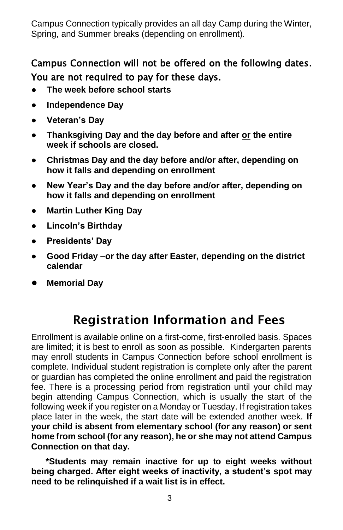Campus Connection typically provides an all day Camp during the Winter, Spring, and Summer breaks (depending on enrollment).

### Campus Connection will not be offered on the following dates. You are not required to pay for these days.

- **The week before school starts**
- **Independence Day**
- **Veteran's Day**
- **Thanksgiving Day and the day before and after or the entire week if schools are closed.**
- **Christmas Day and the day before and/or after, depending on how it falls and depending on enrollment**
- **New Year's Day and the day before and/or after, depending on how it falls and depending on enrollment**
- **Martin Luther King Day**
- **Lincoln's Birthday**
- **Presidents' Day**
- Good Friday –or the day after Easter, depending on the district **calendar**
- **Memorial Day**

## Registration Information and Fees

Enrollment is available online on a first-come, first-enrolled basis. Spaces are limited; it is best to enroll as soon as possible. Kindergarten parents may enroll students in Campus Connection before school enrollment is complete. Individual student registration is complete only after the parent or guardian has completed the online enrollment and paid the registration fee. There is a processing period from registration until your child may begin attending Campus Connection, which is usually the start of the following week if you register on a Monday or Tuesday. If registration takes place later in the week, the start date will be extended another week. **If your child is absent from elementary school (for any reason) or sent home from school (for any reason), he or she may not attend Campus Connection on that day.**

 **\*Students may remain inactive for up to eight weeks without being charged. After eight weeks of inactivity, a student's spot may need to be relinquished if a wait list is in effect.**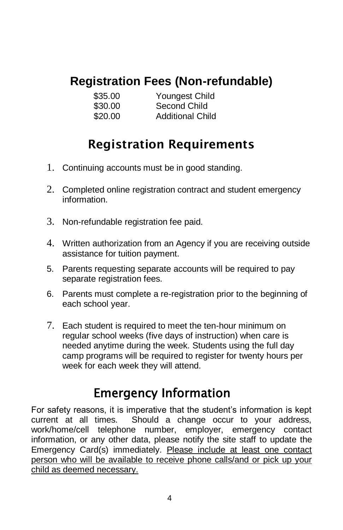# **Registration Fees (Non-refundable)**

| \$35.00 | Youngest Child          |
|---------|-------------------------|
| \$30.00 | Second Child            |
| \$20.00 | <b>Additional Child</b> |

## Registration Requirements

- 1. Continuing accounts must be in good standing.
- 2. Completed online registration contract and student emergency information.
- 3. Non-refundable registration fee paid.
- 4. Written authorization from an Agency if you are receiving outside assistance for tuition payment.
- 5. Parents requesting separate accounts will be required to pay separate registration fees.
- 6. Parents must complete a re-registration prior to the beginning of each school year.
- 7. Each student is required to meet the ten-hour minimum on regular school weeks (five days of instruction) when care is needed anytime during the week. Students using the full day camp programs will be required to register for twenty hours per week for each week they will attend.

# Emergency Information

For safety reasons, it is imperative that the student's information is kept current at all times. Should a change occur to your address, work/home/cell telephone number, employer, emergency contact information, or any other data, please notify the site staff to update the Emergency Card(s) immediately. Please include at least one contact person who will be available to receive phone calls/and or pick up your child as deemed necessary.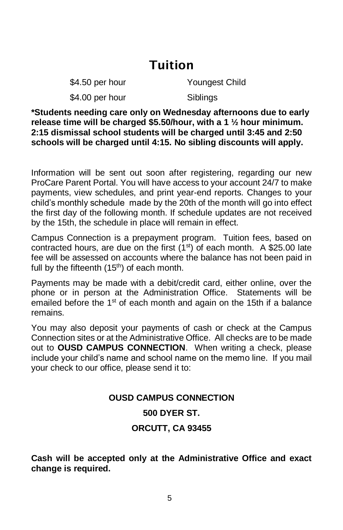### Tuition

\$4.50 per hour Youngest Child

\$4.00 per hour Siblings

**\*Students needing care only on Wednesday afternoons due to early release time will be charged \$5.50/hour, with a 1 ½ hour minimum. 2:15 dismissal school students will be charged until 3:45 and 2:50 schools will be charged until 4:15. No sibling discounts will apply.**

Information will be sent out soon after registering, regarding our new ProCare Parent Portal. You will have access to your account 24/7 to make payments, view schedules, and print year-end reports. Changes to your child's monthly schedule made by the 20th of the month will go into effect the first day of the following month. If schedule updates are not received by the 15th, the schedule in place will remain in effect.

Campus Connection is a prepayment program. Tuition fees, based on contracted hours, are due on the first  $(1<sup>st</sup>)$  of each month. A \$25.00 late fee will be assessed on accounts where the balance has not been paid in full by the fifteenth  $(15<sup>th</sup>)$  of each month.

Payments may be made with a debit/credit card, either online, over the phone or in person at the Administration Office. Statements will be emailed before the  $1<sup>st</sup>$  of each month and again on the 15th if a balance remains.

You may also deposit your payments of cash or check at the Campus Connection sites or at the Administrative Office. All checks are to be made out to **OUSD CAMPUS CONNECTION**. When writing a check, please include your child's name and school name on the memo line. If you mail your check to our office, please send it to:

## **OUSD CAMPUS CONNECTION 500 DYER ST. ORCUTT, CA 93455**

**Cash will be accepted only at the Administrative Office and exact change is required.**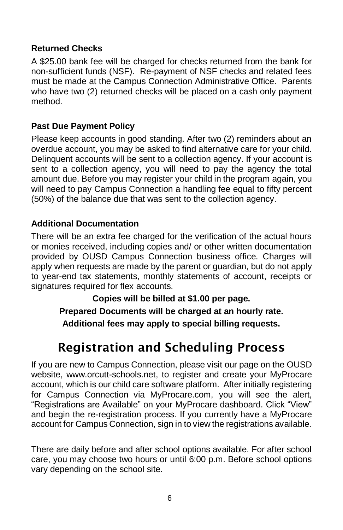### **Returned Checks**

A \$25.00 bank fee will be charged for checks returned from the bank for non-sufficient funds (NSF). Re-payment of NSF checks and related fees must be made at the Campus Connection Administrative Office. Parents who have two (2) returned checks will be placed on a cash only payment method.

#### **Past Due Payment Policy**

Please keep accounts in good standing. After two (2) reminders about an overdue account, you may be asked to find alternative care for your child. Delinquent accounts will be sent to a collection agency. If your account is sent to a collection agency, you will need to pay the agency the total amount due. Before you may register your child in the program again, you will need to pay Campus Connection a handling fee equal to fifty percent (50%) of the balance due that was sent to the collection agency.

#### **Additional Documentation**

There will be an extra fee charged for the verification of the actual hours or monies received, including copies and/ or other written documentation provided by OUSD Campus Connection business office. Charges will apply when requests are made by the parent or guardian, but do not apply to year-end tax statements, monthly statements of account, receipts or signatures required for flex accounts.

**Copies will be billed at \$1.00 per page.**

**Prepared Documents will be charged at an hourly rate. Additional fees may apply to special billing requests.**

## Registration and Scheduling Process

If you are new to Campus Connection, please visit our page on the OUSD website, www.orcutt-schools.net, to register and create your MyProcare account, which is our child care software platform. After initially registering for Campus Connection via MyProcare.com, you will see the alert, "Registrations are Available" on your MyProcare dashboard. Click "View" and begin the re-registration process. If you currently have a MyProcare account for Campus Connection, sign in to view the registrations available.

There are daily before and after school options available. For after school care, you may choose two hours or until 6:00 p.m. Before school options vary depending on the school site.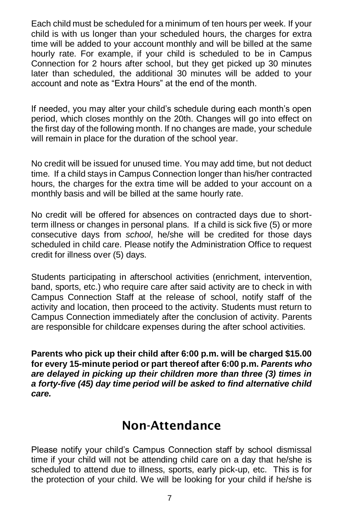Each child must be scheduled for a minimum of ten hours per week. If your child is with us longer than your scheduled hours, the charges for extra time will be added to your account monthly and will be billed at the same hourly rate. For example, if your child is scheduled to be in Campus Connection for 2 hours after school, but they get picked up 30 minutes later than scheduled, the additional 30 minutes will be added to your account and note as "Extra Hours" at the end of the month.

If needed, you may alter your child's schedule during each month's open period, which closes monthly on the 20th. Changes will go into effect on the first day of the following month. If no changes are made, your schedule will remain in place for the duration of the school year.

No credit will be issued for unused time. You may add time, but not deduct time. If a child stays in Campus Connection longer than his/her contracted hours, the charges for the extra time will be added to your account on a monthly basis and will be billed at the same hourly rate.

No credit will be offered for absences on contracted days due to shortterm illness or changes in personal plans. If a child is sick five (5) or more consecutive days from *school*, he/she will be credited for those days scheduled in child care. Please notify the Administration Office to request credit for illness over (5) days.

Students participating in afterschool activities (enrichment, intervention, band, sports, etc.) who require care after said activity are to check in with Campus Connection Staff at the release of school, notify staff of the activity and location, then proceed to the activity. Students must return to Campus Connection immediately after the conclusion of activity. Parents are responsible for childcare expenses during the after school activities.

**Parents who pick up their child after 6:00 p.m. will be charged \$15.00 for every 15-minute period or part thereof after 6:00 p.m.** *Parents who are delayed in picking up their children more than three (3) times in a forty-five (45) day time period will be asked to find alternative child care.*

### Non-Attendance

Please notify your child's Campus Connection staff by school dismissal time if your child will not be attending child care on a day that he/she is scheduled to attend due to illness, sports, early pick-up, etc. This is for the protection of your child. We will be looking for your child if he/she is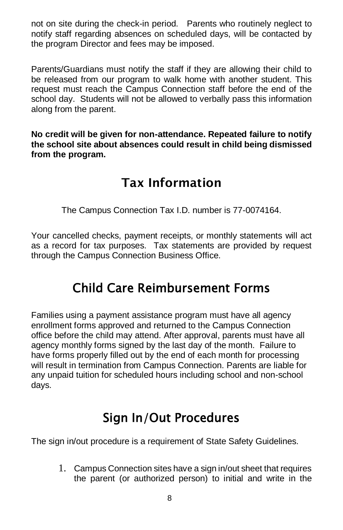not on site during the check-in period. Parents who routinely neglect to notify staff regarding absences on scheduled days, will be contacted by the program Director and fees may be imposed.

Parents/Guardians must notify the staff if they are allowing their child to be released from our program to walk home with another student. This request must reach the Campus Connection staff before the end of the school day. Students will not be allowed to verbally pass this information along from the parent.

**No credit will be given for non-attendance. Repeated failure to notify the school site about absences could result in child being dismissed from the program.**

## Tax Information

The Campus Connection Tax I.D. number is 77-0074164.

Your cancelled checks, payment receipts, or monthly statements will act as a record for tax purposes. Tax statements are provided by request through the Campus Connection Business Office.

## Child Care Reimbursement Forms

Families using a payment assistance program must have all agency enrollment forms approved and returned to the Campus Connection office before the child may attend. After approval, parents must have all agency monthly forms signed by the last day of the month. Failure to have forms properly filled out by the end of each month for processing will result in termination from Campus Connection. Parents are liable for any unpaid tuition for scheduled hours including school and non-school days.

# Sign In/Out Procedures

The sign in/out procedure is a requirement of State Safety Guidelines.

1. Campus Connection sites have a sign in/out sheet that requires the parent (or authorized person) to initial and write in the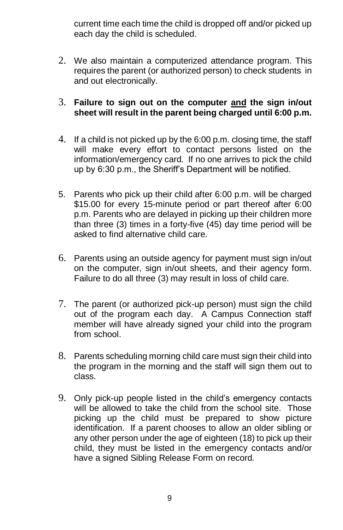current time each time the child is dropped off and/or picked up each day the child is scheduled.

2. We also maintain a computerized attendance program. This requires the parent (or authorized person) to check students in and out electronically.

#### 3. **Failure to sign out on the computer and the sign in/out sheet will result in the parent being charged until 6:00 p.m.**

- 4. If a child is not picked up by the 6:00 p.m. closing time, the staff will make every effort to contact persons listed on the information/emergency card. If no one arrives to pick the child up by 6:30 p.m., the Sheriff's Department will be notified.
- 5. Parents who pick up their child after 6:00 p.m. will be charged \$15.00 for every 15-minute period or part thereof after 6:00 p.m. Parents who are delayed in picking up their children more than three (3) times in a forty-five (45) day time period will be asked to find alternative child care.
- 6. Parents using an outside agency for payment must sign in/out on the computer, sign in/out sheets, and their agency form. Failure to do all three (3) may result in loss of child care.
- 7. The parent (or authorized pick-up person) must sign the child out of the program each day. A Campus Connection staff member will have already signed your child into the program from school.
- 8. Parents scheduling morning child care must sign their child into the program in the morning and the staff will sign them out to class.
- 9. Only pick-up people listed in the child's emergency contacts will be allowed to take the child from the school site. Those picking up the child must be prepared to show picture identification. If a parent chooses to allow an older sibling or any other person under the age of eighteen (18) to pick up their child, they must be listed in the emergency contacts and/or have a signed Sibling Release Form on record.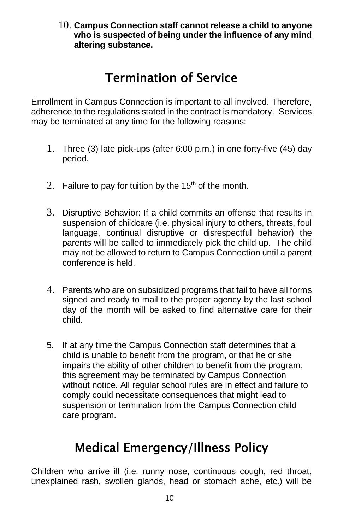10. **Campus Connection staff cannot release a child to anyone who is suspected of being under the influence of any mind altering substance.**

# Termination of Service

Enrollment in Campus Connection is important to all involved. Therefore, adherence to the regulations stated in the contract is mandatory. Services may be terminated at any time for the following reasons:

- 1. Three (3) late pick-ups (after 6:00 p.m.) in one forty-five (45) day period.
- 2. Failure to pay for tuition by the  $15<sup>th</sup>$  of the month.
- 3. Disruptive Behavior: If a child commits an offense that results in suspension of childcare (i.e. physical injury to others, threats, foul language, continual disruptive or disrespectful behavior) the parents will be called to immediately pick the child up. The child may not be allowed to return to Campus Connection until a parent conference is held.
- 4. Parents who are on subsidized programs that fail to have all forms signed and ready to mail to the proper agency by the last school day of the month will be asked to find alternative care for their child.
- 5. If at any time the Campus Connection staff determines that a child is unable to benefit from the program, or that he or she impairs the ability of other children to benefit from the program, this agreement may be terminated by Campus Connection without notice. All regular school rules are in effect and failure to comply could necessitate consequences that might lead to suspension or termination from the Campus Connection child care program.

## Medical Emergency/Illness Policy

Children who arrive ill (i.e. runny nose, continuous cough, red throat, unexplained rash, swollen glands, head or stomach ache, etc.) will be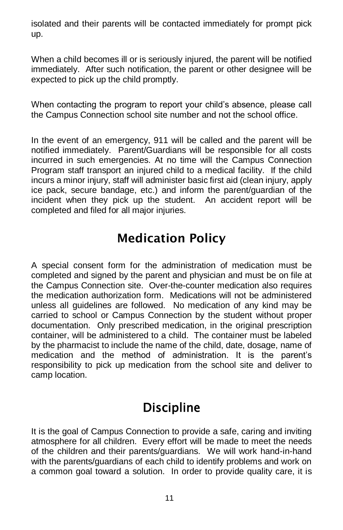isolated and their parents will be contacted immediately for prompt pick up.

When a child becomes ill or is seriously injured, the parent will be notified immediately. After such notification, the parent or other designee will be expected to pick up the child promptly.

When contacting the program to report your child's absence, please call the Campus Connection school site number and not the school office.

In the event of an emergency, 911 will be called and the parent will be notified immediately. Parent/Guardians will be responsible for all costs incurred in such emergencies. At no time will the Campus Connection Program staff transport an injured child to a medical facility. If the child incurs a minor injury, staff will administer basic first aid (clean injury, apply ice pack, secure bandage, etc.) and inform the parent/guardian of the incident when they pick up the student. An accident report will be completed and filed for all major injuries.

## Medication Policy

A special consent form for the administration of medication must be completed and signed by the parent and physician and must be on file at the Campus Connection site. Over-the-counter medication also requires the medication authorization form. Medications will not be administered unless all guidelines are followed. No medication of any kind may be carried to school or Campus Connection by the student without proper documentation. Only prescribed medication, in the original prescription container, will be administered to a child. The container must be labeled by the pharmacist to include the name of the child, date, dosage, name of medication and the method of administration. It is the parent's responsibility to pick up medication from the school site and deliver to camp location.

## **Discipline**

It is the goal of Campus Connection to provide a safe, caring and inviting atmosphere for all children. Every effort will be made to meet the needs of the children and their parents/guardians. We will work hand-in-hand with the parents/guardians of each child to identify problems and work on a common goal toward a solution. In order to provide quality care, it is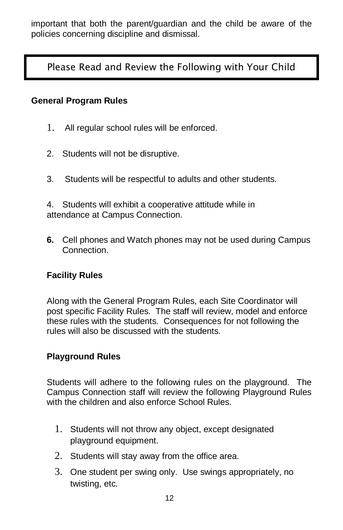important that both the parent/guardian and the child be aware of the policies concerning discipline and dismissal.

Please Read and Review the Following with Your Child

#### **General Program Rules**

- 1. All regular school rules will be enforced.
- 2. Students will not be disruptive.
- 3. Students will be respectful to adults and other students.

4. Students will exhibit a cooperative attitude while in attendance at Campus Connection.

**6.** Cell phones and Watch phones may not be used during Campus Connection.

### **Facility Rules**

Along with the General Program Rules, each Site Coordinator will post specific Facility Rules. The staff will review, model and enforce these rules with the students. Consequences for not following the rules will also be discussed with the students.

#### **Playground Rules**

Students will adhere to the following rules on the playground. The Campus Connection staff will review the following Playground Rules with the children and also enforce School Rules.

- 1. Students will not throw any object, except designated playground equipment.
- 2. Students will stay away from the office area.
- 3. One student per swing only. Use swings appropriately, no twisting, etc.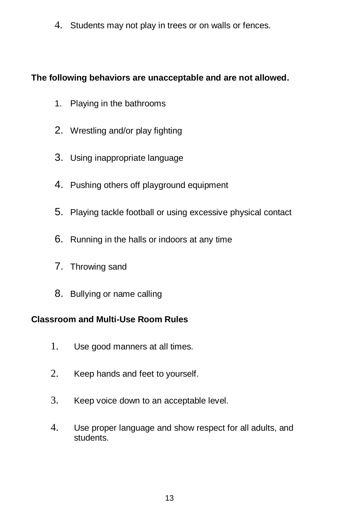4. Students may not play in trees or on walls or fences.

### **The following behaviors are unacceptable and are not allowed.**

- 1. Playing in the bathrooms
- 2. Wrestling and/or play fighting
- 3. Using inappropriate language
- 4. Pushing others off playground equipment
- 5. Playing tackle football or using excessive physical contact
- 6. Running in the halls or indoors at any time
- 7. Throwing sand
- 8. Bullying or name calling

### **Classroom and Multi-Use Room Rules**

- 1. Use good manners at all times.
- 2. Keep hands and feet to yourself.
- 3. Keep voice down to an acceptable level.
- 4. Use proper language and show respect for all adults, and students.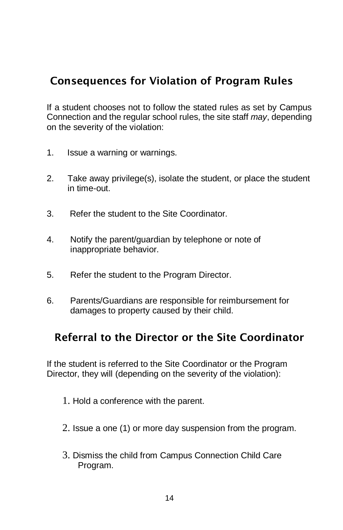### Consequences for Violation of Program Rules

If a student chooses not to follow the stated rules as set by Campus Connection and the regular school rules, the site staff *may*, depending on the severity of the violation:

- 1. Issue a warning or warnings.
- 2. Take away privilege(s), isolate the student, or place the student in time-out.
- 3. Refer the student to the Site Coordinator.
- 4. Notify the parent/guardian by telephone or note of inappropriate behavior.
- 5. Refer the student to the Program Director.
- 6. Parents/Guardians are responsible for reimbursement for damages to property caused by their child.

### Referral to the Director or the Site Coordinator

If the student is referred to the Site Coordinator or the Program Director, they will (depending on the severity of the violation):

- 1. Hold a conference with the parent.
- 2. Issue a one (1) or more day suspension from the program.
- 3. Dismiss the child from Campus Connection Child Care Program.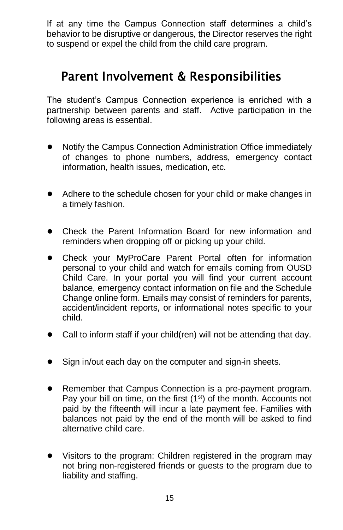If at any time the Campus Connection staff determines a child's behavior to be disruptive or dangerous, the Director reserves the right to suspend or expel the child from the child care program.

## Parent Involvement & Responsibilities

The student's Campus Connection experience is enriched with a partnership between parents and staff. Active participation in the following areas is essential.

- Notify the Campus Connection Administration Office immediately of changes to phone numbers, address, emergency contact information, health issues, medication, etc.
- Adhere to the schedule chosen for your child or make changes in a timely fashion.
- Check the Parent Information Board for new information and reminders when dropping off or picking up your child.
- Check your MyProCare Parent Portal often for information personal to your child and watch for emails coming from OUSD Child Care. In your portal you will find your current account balance, emergency contact information on file and the Schedule Change online form. Emails may consist of reminders for parents, accident/incident reports, or informational notes specific to your child.
- Call to inform staff if your child(ren) will not be attending that day.
- Sign in/out each day on the computer and sign-in sheets.
- Remember that Campus Connection is a pre-payment program. Pay your bill on time, on the first  $(1<sup>st</sup>)$  of the month. Accounts not paid by the fifteenth will incur a late payment fee. Families with balances not paid by the end of the month will be asked to find alternative child care.
- Visitors to the program: Children registered in the program may not bring non-registered friends or guests to the program due to liability and staffing.